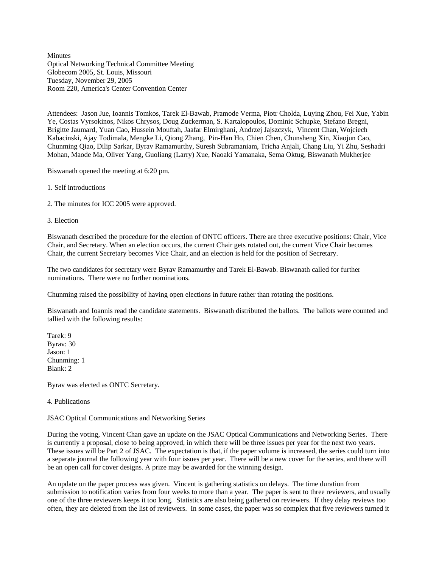**Minutes** Optical Networking Technical Committee Meeting Globecom 2005, St. Louis, Missouri Tuesday, November 29, 2005 Room 220, America's Center Convention Center

Attendees: Jason Jue, Ioannis Tomkos, Tarek El-Bawab, Pramode Verma, Piotr Cholda, Luying Zhou, Fei Xue, Yabin Ye, Costas Vyrsokinos, Nikos Chrysos, Doug Zuckerman, S. Kartalopoulos, Dominic Schupke, Stefano Bregni, Brigitte Jaumard, Yuan Cao, Hussein Mouftah, Jaafar Elmirghani, Andrzej Jajszczyk, Vincent Chan, Wojciech Kabacinski, Ajay Todimala, Mengke Li, Qiong Zhang, Pin-Han Ho, Chien Chen, Chunsheng Xin, Xiaojun Cao, Chunming Qiao, Dilip Sarkar, Byrav Ramamurthy, Suresh Subramaniam, Tricha Anjali, Chang Liu, Yi Zhu, Seshadri Mohan, Maode Ma, Oliver Yang, Guoliang (Larry) Xue, Naoaki Yamanaka, Sema Oktug, Biswanath Mukherjee

Biswanath opened the meeting at 6:20 pm.

- 1. Self introductions
- 2. The minutes for ICC 2005 were approved.
- 3. Election

Biswanath described the procedure for the election of ONTC officers. There are three executive positions: Chair, Vice Chair, and Secretary. When an election occurs, the current Chair gets rotated out, the current Vice Chair becomes Chair, the current Secretary becomes Vice Chair, and an election is held for the position of Secretary.

The two candidates for secretary were Byrav Ramamurthy and Tarek El-Bawab. Biswanath called for further nominations. There were no further nominations.

Chunming raised the possibility of having open elections in future rather than rotating the positions.

Biswanath and Ioannis read the candidate statements. Biswanath distributed the ballots. The ballots were counted and tallied with the following results:

Tarek: 9 Byrav: 30 Jason: 1 Chunming: 1 Blank: 2

Byrav was elected as ONTC Secretary.

4. Publications

JSAC Optical Communications and Networking Series

During the voting, Vincent Chan gave an update on the JSAC Optical Communications and Networking Series. There is currently a proposal, close to being approved, in which there will be three issues per year for the next two years. These issues will be Part 2 of JSAC. The expectation is that, if the paper volume is increased, the series could turn into a separate journal the following year with four issues per year. There will be a new cover for the series, and there will be an open call for cover designs. A prize may be awarded for the winning design.

An update on the paper process was given. Vincent is gathering statistics on delays. The time duration from submission to notification varies from four weeks to more than a year. The paper is sent to three reviewers, and usually one of the three reviewers keeps it too long. Statistics are also being gathered on reviewers. If they delay reviews too often, they are deleted from the list of reviewers. In some cases, the paper was so complex that five reviewers turned it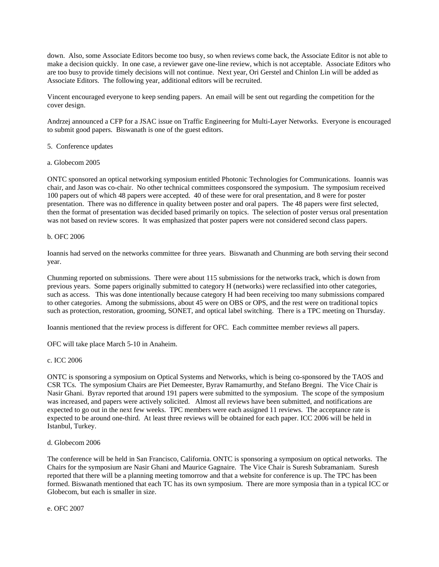down. Also, some Associate Editors become too busy, so when reviews come back, the Associate Editor is not able to make a decision quickly. In one case, a reviewer gave one-line review, which is not acceptable. Associate Editors who are too busy to provide timely decisions will not continue. Next year, Ori Gerstel and Chinlon Lin will be added as Associate Editors. The following year, additional editors will be recruited.

Vincent encouraged everyone to keep sending papers. An email will be sent out regarding the competition for the cover design.

Andrzej announced a CFP for a JSAC issue on Traffic Engineering for Multi-Layer Networks. Everyone is encouraged to submit good papers. Biswanath is one of the guest editors.

- 5. Conference updates
- a. Globecom 2005

ONTC sponsored an optical networking symposium entitled Photonic Technologies for Communications. Ioannis was chair, and Jason was co-chair. No other technical committees cosponsored the symposium. The symposium received 100 papers out of which 48 papers were accepted. 40 of these were for oral presentation, and 8 were for poster presentation. There was no difference in quality between poster and oral papers. The 48 papers were first selected, then the format of presentation was decided based primarily on topics. The selection of poster versus oral presentation was not based on review scores. It was emphasized that poster papers were not considered second class papers.

# b. OFC 2006

Ioannis had served on the networks committee for three years. Biswanath and Chunming are both serving their second year.

Chunming reported on submissions. There were about 115 submissions for the networks track, which is down from previous years. Some papers originally submitted to category H (networks) were reclassified into other categories, such as access. This was done intentionally because category H had been receiving too many submissions compared to other categories. Among the submissions, about 45 were on OBS or OPS, and the rest were on traditional topics such as protection, restoration, grooming, SONET, and optical label switching. There is a TPC meeting on Thursday.

Ioannis mentioned that the review process is different for OFC. Each committee member reviews all papers.

OFC will take place March 5-10 in Anaheim.

# c. ICC 2006

ONTC is sponsoring a symposium on Optical Systems and Networks, which is being co-sponsored by the TAOS and CSR TCs. The symposium Chairs are Piet Demeester, Byrav Ramamurthy, and Stefano Bregni. The Vice Chair is Nasir Ghani. Byrav reported that around 191 papers were submitted to the symposium. The scope of the symposium was increased, and papers were actively solicited. Almost all reviews have been submitted, and notifications are expected to go out in the next few weeks. TPC members were each assigned 11 reviews. The acceptance rate is expected to be around one-third. At least three reviews will be obtained for each paper. ICC 2006 will be held in Istanbul, Turkey.

# d. Globecom 2006

The conference will be held in San Francisco, California. ONTC is sponsoring a symposium on optical networks. The Chairs for the symposium are Nasir Ghani and Maurice Gagnaire. The Vice Chair is Suresh Subramaniam. Suresh reported that there will be a planning meeting tomorrow and that a website for conference is up. The TPC has been formed. Biswanath mentioned that each TC has its own symposium. There are more symposia than in a typical ICC or Globecom, but each is smaller in size.

e. OFC 2007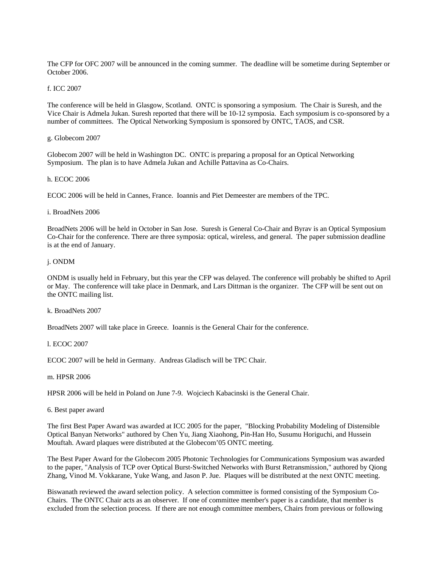The CFP for OFC 2007 will be announced in the coming summer. The deadline will be sometime during September or October 2006.

# f. ICC 2007

The conference will be held in Glasgow, Scotland. ONTC is sponsoring a symposium. The Chair is Suresh, and the Vice Chair is Admela Jukan. Suresh reported that there will be 10-12 symposia. Each symposium is co-sponsored by a number of committees. The Optical Networking Symposium is sponsored by ONTC, TAOS, and CSR.

# g. Globecom 2007

Globecom 2007 will be held in Washington DC. ONTC is preparing a proposal for an Optical Networking Symposium. The plan is to have Admela Jukan and Achille Pattavina as Co-Chairs.

# h. ECOC 2006

ECOC 2006 will be held in Cannes, France. Ioannis and Piet Demeester are members of the TPC.

# i. BroadNets 2006

BroadNets 2006 will be held in October in San Jose. Suresh is General Co-Chair and Byrav is an Optical Symposium Co-Chair for the conference. There are three symposia: optical, wireless, and general. The paper submission deadline is at the end of January.

#### j. ONDM

ONDM is usually held in February, but this year the CFP was delayed. The conference will probably be shifted to April or May. The conference will take place in Denmark, and Lars Dittman is the organizer. The CFP will be sent out on the ONTC mailing list.

# k. BroadNets 2007

BroadNets 2007 will take place in Greece. Ioannis is the General Chair for the conference.

# l. ECOC 2007

ECOC 2007 will be held in Germany. Andreas Gladisch will be TPC Chair.

#### m. HPSR 2006

HPSR 2006 will be held in Poland on June 7-9. Wojciech Kabacinski is the General Chair.

# 6. Best paper award

The first Best Paper Award was awarded at ICC 2005 for the paper, "Blocking Probability Modeling of Distensible Optical Banyan Networks" authored by Chen Yu, Jiang Xiaohong, Pin-Han Ho, Susumu Horiguchi, and Hussein Mouftah. Award plaques were distributed at the Globecom'05 ONTC meeting.

The Best Paper Award for the Globecom 2005 Photonic Technologies for Communications Symposium was awarded to the paper, "Analysis of TCP over Optical Burst-Switched Networks with Burst Retransmission," authored by Qiong Zhang, Vinod M. Vokkarane, Yuke Wang, and Jason P. Jue. Plaques will be distributed at the next ONTC meeting.

Biswanath reviewed the award selection policy. A selection committee is formed consisting of the Symposium Co-Chairs. The ONTC Chair acts as an observer. If one of committee member's paper is a candidate, that member is excluded from the selection process. If there are not enough committee members, Chairs from previous or following